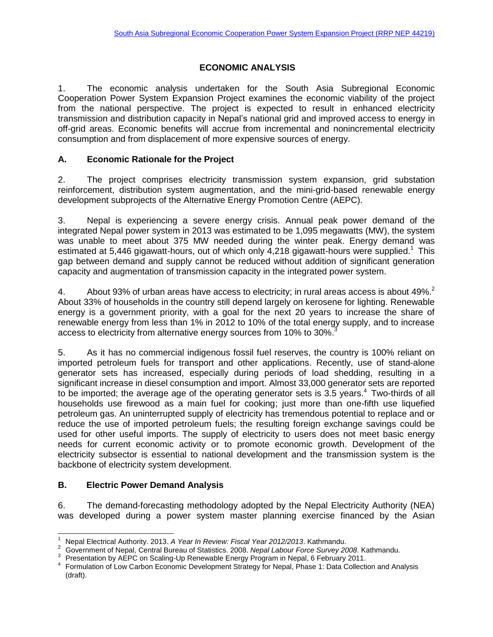## **ECONOMIC ANALYSIS**

1. The economic analysis undertaken for the South Asia Subregional Economic Cooperation Power System Expansion Project examines the economic viability of the project from the national perspective. The project is expected to result in enhanced electricity transmission and distribution capacity in Nepal's national grid and improved access to energy in off-grid areas. Economic benefits will accrue from incremental and nonincremental electricity consumption and from displacement of more expensive sources of energy.

### **A. Economic Rationale for the Project**

2. The project comprises electricity transmission system expansion, grid substation reinforcement, distribution system augmentation, and the mini-grid-based renewable energy development subprojects of the Alternative Energy Promotion Centre (AEPC).

3. Nepal is experiencing a severe energy crisis. Annual peak power demand of the integrated Nepal power system in 2013 was estimated to be 1,095 megawatts (MW), the system was unable to meet about 375 MW needed during the winter peak. Energy demand was estimated at 5,446 gigawatt-hours, out of which only 4,218 gigawatt-hours were supplied.<sup>1</sup> This gap between demand and supply cannot be reduced without addition of significant generation capacity and augmentation of transmission capacity in the integrated power system.

4. About 93% of urban areas have access to electricity; in rural areas access is about 49%.<sup>2</sup> About 33% of households in the country still depend largely on kerosene for lighting. Renewable energy is a government priority, with a goal for the next 20 years to increase the share of renewable energy from less than 1% in 2012 to 10% of the total energy supply, and to increase access to electricity from alternative energy sources from 10% to 30%.<sup>3</sup>

5. As it has no commercial indigenous fossil fuel reserves, the country is 100% reliant on imported petroleum fuels for transport and other applications. Recently, use of stand-alone generator sets has increased, especially during periods of load shedding, resulting in a significant increase in diesel consumption and import. Almost 33,000 generator sets are reported to be imported; the average age of the operating generator sets is 3.5 years.<sup>4</sup> Two-thirds of all households use firewood as a main fuel for cooking; just more than one-fifth use liquefied petroleum gas. An uninterrupted supply of electricity has tremendous potential to replace and or reduce the use of imported petroleum fuels; the resulting foreign exchange savings could be used for other useful imports. The supply of electricity to users does not meet basic energy needs for current economic activity or to promote economic growth. Development of the electricity subsector is essential to national development and the transmission system is the backbone of electricity system development.

## **B. Electric Power Demand Analysis**

 $\overline{a}$ 

6. The demand-forecasting methodology adopted by the Nepal Electricity Authority (NEA) was developed during a power system master planning exercise financed by the Asian

<sup>1</sup> Nepal Electrical Authority. 2013. *A Year In Review: Fiscal Year 2012/2013*. Kathmandu.

<sup>2</sup> Government of Nepal, Central Bureau of Statistics. 2008. *Nepal Labour Force Survey 2008*. Kathmandu.

<sup>3</sup> Presentation by AEPC on Scaling-Up Renewable Energy Program in Nepal, 6 February 2011.

<sup>4</sup> Formulation of Low Carbon Economic Development Strategy for Nepal, Phase 1: Data Collection and Analysis (draft).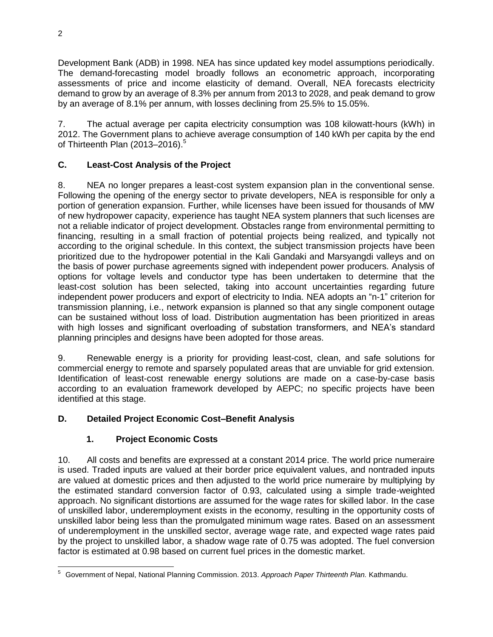Development Bank (ADB) in 1998. NEA has since updated key model assumptions periodically. The demand-forecasting model broadly follows an econometric approach, incorporating assessments of price and income elasticity of demand. Overall, NEA forecasts electricity demand to grow by an average of 8.3% per annum from 2013 to 2028, and peak demand to grow by an average of 8.1% per annum, with losses declining from 25.5% to 15.05%.

7. The actual average per capita electricity consumption was 108 kilowatt-hours (kWh) in 2012. The Government plans to achieve average consumption of 140 kWh per capita by the end of Thirteenth Plan (2013–2016). 5

## **C. Least-Cost Analysis of the Project**

8. NEA no longer prepares a least-cost system expansion plan in the conventional sense. Following the opening of the energy sector to private developers, NEA is responsible for only a portion of generation expansion. Further, while licenses have been issued for thousands of MW of new hydropower capacity, experience has taught NEA system planners that such licenses are not a reliable indicator of project development. Obstacles range from environmental permitting to financing, resulting in a small fraction of potential projects being realized, and typically not according to the original schedule. In this context, the subject transmission projects have been prioritized due to the hydropower potential in the Kali Gandaki and Marsyangdi valleys and on the basis of power purchase agreements signed with independent power producers. Analysis of options for voltage levels and conductor type has been undertaken to determine that the least-cost solution has been selected, taking into account uncertainties regarding future independent power producers and export of electricity to India. NEA adopts an "n-1" criterion for transmission planning, i.e., network expansion is planned so that any single component outage can be sustained without loss of load. Distribution augmentation has been prioritized in areas with high losses and significant overloading of substation transformers, and NEA's standard planning principles and designs have been adopted for those areas.

9. Renewable energy is a priority for providing least-cost, clean, and safe solutions for commercial energy to remote and sparsely populated areas that are unviable for grid extension. Identification of least-cost renewable energy solutions are made on a case-by-case basis according to an evaluation framework developed by AEPC; no specific projects have been identified at this stage.

# **D. Detailed Project Economic Cost–Benefit Analysis**

# **1. Project Economic Costs**

10. All costs and benefits are expressed at a constant 2014 price. The world price numeraire is used. Traded inputs are valued at their border price equivalent values, and nontraded inputs are valued at domestic prices and then adjusted to the world price numeraire by multiplying by the estimated standard conversion factor of 0.93, calculated using a simple trade-weighted approach. No significant distortions are assumed for the wage rates for skilled labor. In the case of unskilled labor, underemployment exists in the economy, resulting in the opportunity costs of unskilled labor being less than the promulgated minimum wage rates. Based on an assessment of underemployment in the unskilled sector, average wage rate, and expected wage rates paid by the project to unskilled labor, a shadow wage rate of 0.75 was adopted. The fuel conversion factor is estimated at 0.98 based on current fuel prices in the domestic market.

 <sup>5</sup> Government of Nepal, National Planning Commission. 2013. *Approach Paper Thirteenth Plan.* Kathmandu.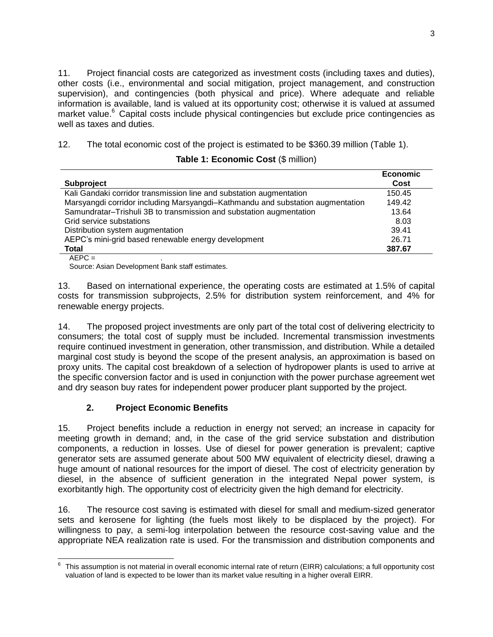11. Project financial costs are categorized as investment costs (including taxes and duties), other costs (i.e., environmental and social mitigation, project management, and construction supervision), and contingencies (both physical and price). Where adequate and reliable information is available, land is valued at its opportunity cost; otherwise it is valued at assumed market value.<sup>6</sup> Capital costs include physical contingencies but exclude price contingencies as well as taxes and duties.

12. The total economic cost of the project is estimated to be \$360.39 million (Table 1).

|                                                                                | <b>Economic</b> |
|--------------------------------------------------------------------------------|-----------------|
| <b>Subproject</b>                                                              | Cost            |
| Kali Gandaki corridor transmission line and substation augmentation            | 150.45          |
| Marsyangdi corridor including Marsyangdi-Kathmandu and substation augmentation | 149.42          |
| Samundratar-Trishuli 3B to transmission and substation augmentation            | 13.64           |
| Grid service substations                                                       | 8.03            |
| Distribution system augmentation                                               | 39.41           |
| AEPC's mini-grid based renewable energy development                            | 26.71           |
| <b>Total</b>                                                                   | 387.67          |
| $AEPC =$                                                                       |                 |

Source: Asian Development Bank staff estimates.

13. Based on international experience, the operating costs are estimated at 1.5% of capital costs for transmission subprojects, 2.5% for distribution system reinforcement, and 4% for renewable energy projects.

14. The proposed project investments are only part of the total cost of delivering electricity to consumers; the total cost of supply must be included. Incremental transmission investments require continued investment in generation, other transmission, and distribution. While a detailed marginal cost study is beyond the scope of the present analysis, an approximation is based on proxy units. The capital cost breakdown of a selection of hydropower plants is used to arrive at the specific conversion factor and is used in conjunction with the power purchase agreement wet and dry season buy rates for independent power producer plant supported by the project.

# **2. Project Economic Benefits**

15. Project benefits include a reduction in energy not served; an increase in capacity for meeting growth in demand; and, in the case of the grid service substation and distribution components, a reduction in losses. Use of diesel for power generation is prevalent; captive generator sets are assumed generate about 500 MW equivalent of electricity diesel, drawing a huge amount of national resources for the import of diesel. The cost of electricity generation by diesel, in the absence of sufficient generation in the integrated Nepal power system, is exorbitantly high. The opportunity cost of electricity given the high demand for electricity.

16. The resource cost saving is estimated with diesel for small and medium-sized generator sets and kerosene for lighting (the fuels most likely to be displaced by the project). For willingness to pay, a semi-log interpolation between the resource cost-saving value and the appropriate NEA realization rate is used. For the transmission and distribution components and

 6 This assumption is not material in overall economic internal rate of return (EIRR) calculations; a full opportunity cost valuation of land is expected to be lower than its market value resulting in a higher overall EIRR.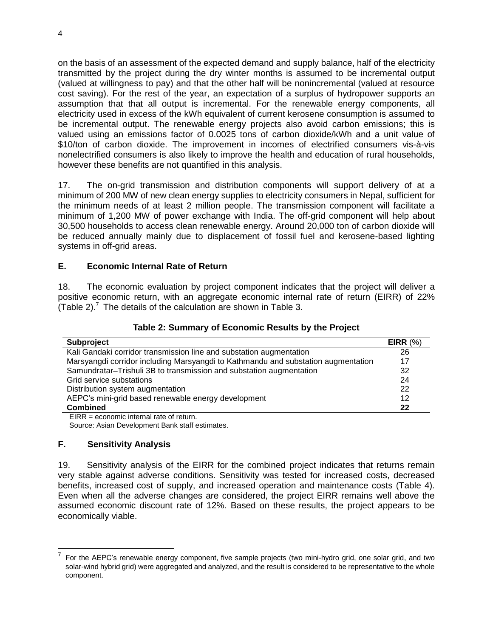on the basis of an assessment of the expected demand and supply balance, half of the electricity transmitted by the project during the dry winter months is assumed to be incremental output (valued at willingness to pay) and that the other half will be nonincremental (valued at resource cost saving). For the rest of the year, an expectation of a surplus of hydropower supports an assumption that that all output is incremental. For the renewable energy components, all electricity used in excess of the kWh equivalent of current kerosene consumption is assumed to be incremental output. The renewable energy projects also avoid carbon emissions; this is valued using an emissions factor of 0.0025 tons of carbon dioxide/kWh and a unit value of \$10/ton of carbon dioxide. The improvement in incomes of electrified consumers vis-à-vis nonelectrified consumers is also likely to improve the health and education of rural households, however these benefits are not quantified in this analysis.

17. The on-grid transmission and distribution components will support delivery of at a minimum of 200 MW of new clean energy supplies to electricity consumers in Nepal, sufficient for the minimum needs of at least 2 million people. The transmission component will facilitate a minimum of 1,200 MW of power exchange with India. The off-grid component will help about 30,500 households to access clean renewable energy. Around 20,000 ton of carbon dioxide will be reduced annually mainly due to displacement of fossil fuel and kerosene-based lighting systems in off-grid areas.

### **E. Economic Internal Rate of Return**

18. The economic evaluation by project component indicates that the project will deliver a positive economic return, with an aggregate economic internal rate of return (EIRR) of 22% (Table 2). $^7$  The details of the calculation are shown in Table 3.

### **Table 2: Summary of Economic Results by the Project**

| <b>Subproject</b>                                                                 | EIRR $(%)$ |
|-----------------------------------------------------------------------------------|------------|
| Kali Gandaki corridor transmission line and substation augmentation               | 26         |
| Marsyangdi corridor including Marsyangdi to Kathmandu and substation augmentation | 17         |
| Samundratar-Trishuli 3B to transmission and substation augmentation               | 32         |
| Grid service substations                                                          | 24         |
| Distribution system augmentation                                                  | 22         |
| AEPC's mini-grid based renewable energy development                               | 12         |
| <b>Combined</b>                                                                   | 22         |
| $FIRR = economic internal rate of return.$                                        |            |

Source: Asian Development Bank staff estimates.

### **F. Sensitivity Analysis**

19. Sensitivity analysis of the EIRR for the combined project indicates that returns remain very stable against adverse conditions. Sensitivity was tested for increased costs, decreased benefits, increased cost of supply, and increased operation and maintenance costs (Table 4). Even when all the adverse changes are considered, the project EIRR remains well above the assumed economic discount rate of 12%. Based on these results, the project appears to be economically viable.

<sup>7</sup> For the AEPC's renewable energy component, five sample projects (two mini-hydro grid, one solar grid, and two solar-wind hybrid grid) were aggregated and analyzed, and the result is considered to be representative to the whole component.